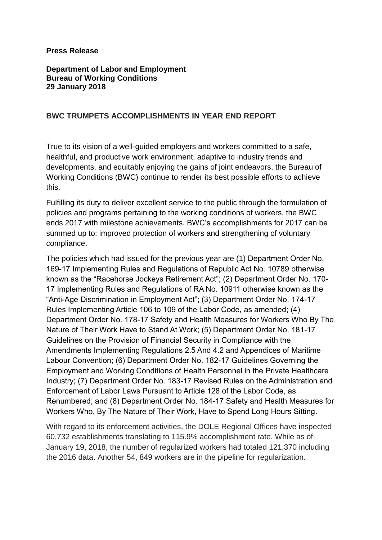## **Press Release**

## **Department of Labor and Employment Bureau of Working Conditions 29 January 2018**

## **BWC TRUMPETS ACCOMPLISHMENTS IN YEAR END REPORT**

True to its vision of a well-guided employers and workers committed to a safe, healthful, and productive work environment, adaptive to industry trends and developments, and equitably enjoying the gains of joint endeavors, the Bureau of Working Conditions (BWC) continue to render its best possible efforts to achieve this.

Fulfilling its duty to deliver excellent service to the public through the formulation of policies and programs pertaining to the working conditions of workers, the BWC ends 2017 with milestone achievements. BWC's accomplishments for 2017 can be summed up to: improved protection of workers and strengthening of voluntary compliance.

The policies which had issued for the previous year are (1) Department Order No. 169-17 Implementing Rules and Regulations of Republic Act No. 10789 otherwise known as the "Racehorse Jockeys Retirement Act"; (2) Department Order No. 170- 17 Implementing Rules and Regulations of RA No. 10911 otherwise known as the "Anti-Age Discrimination in Employment Act"; (3) Department Order No. 174-17 Rules Implementing Article 106 to 109 of the Labor Code, as amended; (4) Department Order No. 178-17 Safety and Health Measures for Workers Who By The Nature of Their Work Have to Stand At Work; (5) Department Order No. 181-17 Guidelines on the Provision of Financial Security in Compliance with the Amendments Implementing Regulations 2.5 And 4.2 and Appendices of Maritime Labour Convention; (6) Department Order No. 182-17 Guidelines Governing the Employment and Working Conditions of Health Personnel in the Private Healthcare Industry; (7) Department Order No. 183-17 Revised Rules on the Administration and Enforcement of Labor Laws Pursuant to Article 128 of the Labor Code, as Renumbered; and (8) Department Order No. 184-17 Safety and Health Measures for Workers Who, By The Nature of Their Work, Have to Spend Long Hours Sitting.

With regard to its enforcement activities, the DOLE Regional Offices have inspected 60,732 establishments translating to 115.9% accomplishment rate. While as of January 19, 2018, the number of regularized workers had totaled 121,370 including the 2016 data. Another 54, 849 workers are in the pipeline for regularization.